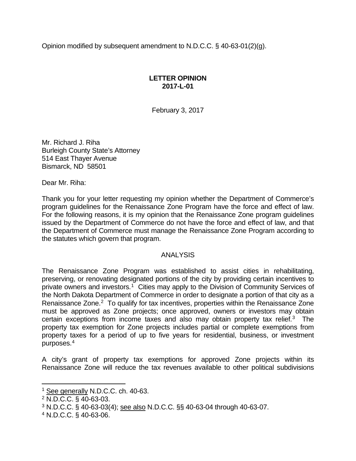Opinion modified by subsequent amendment to N.D.C.C. § 40-63-01(2)(g).

## **LETTER OPINION 2017-L-01**

February 3, 2017

Mr. Richard J. Riha Burleigh County State's Attorney 514 East Thayer Avenue Bismarck, ND 58501

Dear Mr. Riha:

Thank you for your letter requesting my opinion whether the Department of Commerce's program guidelines for the Renaissance Zone Program have the force and effect of law. For the following reasons, it is my opinion that the Renaissance Zone program guidelines issued by the Department of Commerce do not have the force and effect of law, and that the Department of Commerce must manage the Renaissance Zone Program according to the statutes which govern that program.

## ANALYSIS

The Renaissance Zone Program was established to assist cities in rehabilitating, preserving, or renovating designated portions of the city by providing certain incentives to private owners and investors.<sup>[1](#page-0-0)</sup> Cities may apply to the Division of Community Services of the North Dakota Department of Commerce in order to designate a portion of that city as a Renaissance Zone.<sup>[2](#page-0-1)</sup> To qualify for tax incentives, properties within the Renaissance Zone must be approved as Zone projects; once approved, owners or investors may obtain certain exceptions from income taxes and also may obtain property tax relief. [3](#page-0-2) The property tax exemption for Zone projects includes partial or complete exemptions from property taxes for a period of up to five years for residential, business, or investment purposes. [4](#page-0-3)

A city's grant of property tax exemptions for approved Zone projects within its Renaissance Zone will reduce the tax revenues available to other political subdivisions

<sup>&</sup>lt;sup>1</sup> See generally N.D.C.C. ch. 40-63.

<span id="page-0-1"></span><span id="page-0-0"></span><sup>2</sup> N.D.C.C. § 40-63-03.

<span id="page-0-2"></span><sup>3</sup> N.D.C.C. § 40-63-03(4); see also N.D.C.C. §§ 40-63-04 through 40-63-07.

<span id="page-0-3"></span><sup>4</sup> N.D.C.C. § 40-63-06.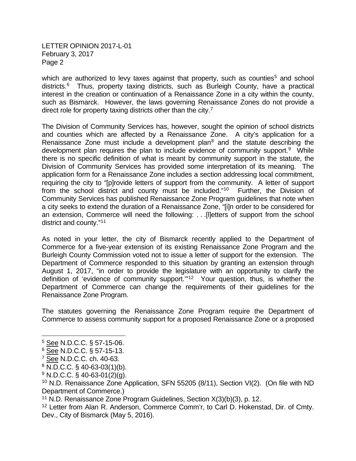LETTER OPINION 2017-L-01 February 3, 2017 Page 2

which are authorized to levy taxes against that property, such as counties<sup>[5](#page-1-0)</sup> and school districts.[6](#page-1-1) Thus, property taxing districts, such as Burleigh County, have a practical interest in the creation or continuation of a Renaissance Zone in a city within the county, such as Bismarck. However, the laws governing Renaissance Zones do not provide a direct role for property taxing districts other than the city.<sup>[7](#page-1-2)</sup>

The Division of Community Services has, however, sought the opinion of school districts and counties which are affected by a Renaissance Zone. A city's application for a Renaissance Zone must include a development plan<sup>8</sup> and the statute describing the development plan requires the plan to include evidence of community support.<sup>9</sup> While there is no specific definition of what is meant by community support in the statute, the Division of Community Services has provided some interpretation of its meaning. The application form for a Renaissance Zone includes a section addressing local commitment, requiring the city to "[p]rovide letters of support from the community. A letter of support from the school district and county must be included."[10](#page-1-5) Further, the Division of Community Services has published Renaissance Zone Program guidelines that note when a city seeks to extend the duration of a Renaissance Zone, "[i]n order to be considered for an extension, Commerce will need the following: . . .[l]etters of support from the school district and county.["11](#page-1-6)

As noted in your letter, the city of Bismarck recently applied to the Department of Commerce for a five-year extension of its existing Renaissance Zone Program and the Burleigh County Commission voted not to issue a letter of support for the extension. The Department of Commerce responded to this situation by granting an extension through August 1, 2017, "in order to provide the legislature with an opportunity to clarify the definition of 'evidence of community support.'"[12](#page-1-7) Your question, thus, is whether the Department of Commerce can change the requirements of their guidelines for the Renaissance Zone Program.

The statutes governing the Renaissance Zone Program require the Department of Commerce to assess community support for a proposed Renaissance Zone or a proposed

<span id="page-1-0"></span><sup>5</sup> See N.D.C.C. § 57-15-06.

<span id="page-1-1"></span> $6\overline{\text{See}}$  N.D.C.C. § 57-15-13.

<span id="page-1-2"></span><sup>7</sup> See N.D.C.C. ch. 40-63.

<span id="page-1-3"></span><sup>8</sup> N.D.C.C. § 40-63-03(1)(b).

<span id="page-1-4"></span><sup>9</sup> N.D.C.C. § 40-63-01(2)(g).

<span id="page-1-5"></span><sup>10</sup> N.D. Renaissance Zone Application, SFN 55205 (8/11), Section VI(2). (On file with ND Department of Commerce.)

<span id="page-1-6"></span><sup>11</sup> N.D. Renaissance Zone Program Guidelines, Section X(3)(b)(3), p. 12.

<span id="page-1-7"></span><sup>12</sup> Letter from Alan R. Anderson, Commerce Comm'r, to Carl D. Hokenstad, Dir. of Cmty. Dev., City of Bismarck (May 5, 2016).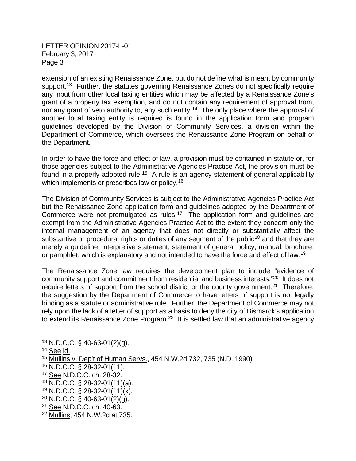LETTER OPINION 2017-L-01 February 3, 2017 Page 3

extension of an existing Renaissance Zone, but do not define what is meant by community support.<sup>13</sup> Further, the statutes governing Renaissance Zones do not specifically require any input from other local taxing entities which may be affected by a Renaissance Zone's grant of a property tax exemption, and do not contain any requirement of approval from, nor any grant of veto authority to, any such entity.<sup>[14](#page-2-1)</sup> The only place where the approval of another local taxing entity is required is found in the application form and program guidelines developed by the Division of Community Services, a division within the Department of Commerce, which oversees the Renaissance Zone Program on behalf of the Department.

In order to have the force and effect of law, a provision must be contained in statute or, for those agencies subject to the Administrative Agencies Practice Act, the provision must be found in a properly adopted rule.<sup>[15](#page-2-2)</sup> A rule is an agency statement of general applicability which implements or prescribes law or policy.<sup>[16](#page-2-3)</sup>

The Division of Community Services is subject to the Administrative Agencies Practice Act but the Renaissance Zone application form and guidelines adopted by the Department of Commerce were not promulgated as rules.<sup>17</sup> The application form and guidelines are exempt from the Administrative Agencies Practice Act to the extent they concern only the internal management of an agency that does not directly or substantially affect the substantive or procedural rights or duties of any segment of the public<sup>[18](#page-2-5)</sup> and that they are merely a guideline, interpretive statement, statement of general policy, manual, brochure, or pamphlet, which is explanatory and not intended to have the force and effect of law.[19](#page-2-6) 

The Renaissance Zone law requires the development plan to include "evidence of community support and commitment from residential and business interests."[20](#page-2-7) It does not require letters of support from the school district or the county government.<sup>[21](#page-2-8)</sup> Therefore, the suggestion by the Department of Commerce to have letters of support is not legally binding as a statute or administrative rule. Further, the Department of Commerce may not rely upon the lack of a letter of support as a basis to deny the city of Bismarck's application to extend its Renaissance Zone Program.<sup>22</sup> It is settled law that an administrative agency

<span id="page-2-6"></span><sup>19</sup> N.D.C.C. § 28-32-01(11)(k).

<span id="page-2-0"></span><sup>13</sup> N.D.C.C. § 40-63-01(2)(g).

<span id="page-2-1"></span><sup>14</sup> See id.

<span id="page-2-2"></span><sup>15</sup> Mullins v. Dep't of Human Servs., 454 N.W.2d 732, 735 (N.D. 1990).

<span id="page-2-3"></span><sup>16</sup> N.D.C.C. § 28-32-01(11).

<span id="page-2-4"></span><sup>17</sup> See N.D.C.C. ch. 28-32.

<span id="page-2-5"></span><sup>18</sup> N.D.C.C. § 28-32-01(11)(a).

<span id="page-2-7"></span> $^{20}$  N.D.C.C. § 40-63-01(2)(g).

<span id="page-2-8"></span><sup>21</sup> See N.D.C.C. ch. 40-63.

<span id="page-2-9"></span><sup>22</sup> Mullins, 454 N.W.2d at 735.